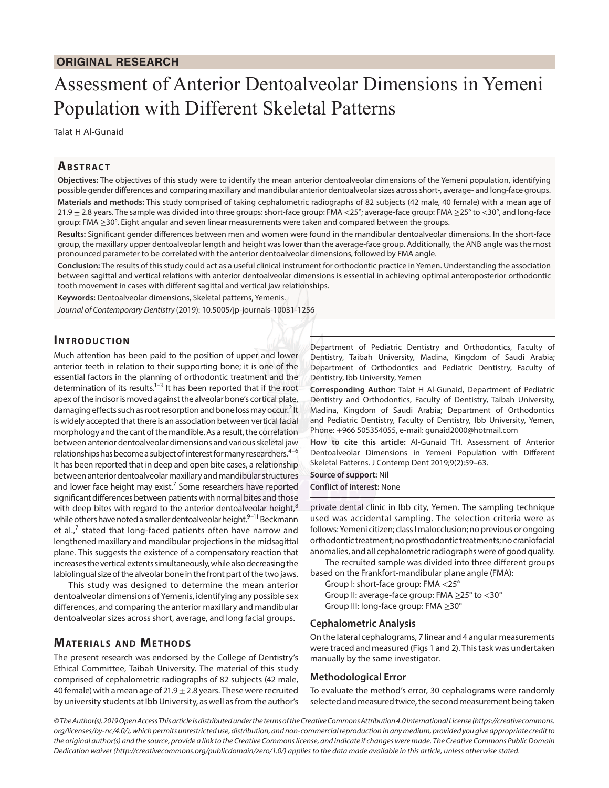# Assessment of Anterior Dentoalveolar Dimensions in Yemeni Population with Different Skeletal Patterns

Talat H Al-Gunaid

## **ABSTRACT**

**Objectives:** The objectives of this study were to identify the mean anterior dentoalveolar dimensions of the Yemeni population, identifying possible gender differences and comparing maxillary and mandibular anterior dentoalveolar sizes across short-, average- and long-face groups. **Materials and methods:** This study comprised of taking cephalometric radiographs of 82 subjects (42 male, 40 female) with a mean age of 21.9 ± 2.8 years. The sample was divided into three groups: short-face group: FMA <25°; average-face group: FMA ≥25° to <30°, and long-face group: FMA ≥30°. Eight angular and seven linear measurements were taken and compared between the groups.

**Results:** Significant gender differences between men and women were found in the mandibular dentoalveolar dimensions. In the short-face group, the maxillary upper dentoalveolar length and height was lower than the average-face group. Additionally, the ANB angle was the most pronounced parameter to be correlated with the anterior dentoalveolar dimensions, followed by FMA angle.

**Conclusion:** The results of this study could act as a useful clinical instrument for orthodontic practice in Yemen. Understanding the association between sagittal and vertical relations with anterior dentoalveolar dimensions is essential in achieving optimal anteroposterior orthodontic tooth movement in cases with different sagittal and vertical jaw relationships.

**Keywords:** Dentoalveolar dimensions, Skeletal patterns, Yemenis.

*Journal of Contemporary Dentistry* (2019): 10.5005/jp-journals-10031-1256

### **INTRODUCTION**

Much attention has been paid to the position of upper and lower anterior teeth in relation to their supporting bone; it is one of the essential factors in the planning of orthodontic treatment and the determination of its results.<sup>1-3</sup> It has been reported that if the root apex of the incisor is moved against the alveolar bone's cortical plate, damaging effects such as root resorption and bone loss may occur.<sup>2</sup> It is widely accepted that there is an association between vertical facial morphology and the cant of the mandible. As a result, the correlation between anterior dentoalveolar dimensions and various skeletal jaw relationships has become a subject of interest for many researchers. $4-6$ It has been reported that in deep and open bite cases, a relationship between anterior dentoalveolar maxillary and mandibular structures and lower face height may exist.<sup>7</sup> Some researchers have reported significant differences between patients with normal bites and those with deep bites with regard to the anterior dentoalveolar height, $8$ while others have noted a smaller dentoalveolar height.<sup>9–11</sup> Beckmann et al., $^7$  stated that long-faced patients often have narrow and lengthened maxillary and mandibular projections in the midsagittal plane. This suggests the existence of a compensatory reaction that increases the vertical extents simultaneously, while also decreasing the labiolingual size of the alveolar bone in the front part of the two jaws.

This study was designed to determine the mean anterior dentoalveolar dimensions of Yemenis, identifying any possible sex differences, and comparing the anterior maxillary and mandibular dentoalveolar sizes across short, average, and long facial groups.

## **MATERIALS AND METHODS**

The present research was endorsed by the College of Dentistry's Ethical Committee, Taibah University. The material of this study comprised of cephalometric radiographs of 82 subjects (42 male, 40 female) with a mean age of 21.9  $\pm$  2.8 years. These were recruited by university students at Ibb University, as well as from the author's

Department of Pediatric Dentistry and Orthodontics, Faculty of Dentistry, Taibah University, Madina, Kingdom of Saudi Arabia; Department of Orthodontics and Pediatric Dentistry, Faculty of Dentistry, Ibb University, Yemen

**Corresponding Author:** Talat H Al-Gunaid, Department of Pediatric Dentistry and Orthodontics, Faculty of Dentistry, Taibah University, Madina, Kingdom of Saudi Arabia; Department of Orthodontics and Pediatric Dentistry, Faculty of Dentistry, Ibb University, Yemen, Phone: +966 505354055, e-mail: gunaid2000@hotmail.com

**How to cite this article:** Al-Gunaid TH. Assessment of Anterior Dentoalveolar Dimensions in Yemeni Population with Different Skeletal Patterns. J Contemp Dent 2019;9(2):59–63.

**Source of support:** Nil

**Conflict of interest:** None

private dental clinic in Ibb city, Yemen. The sampling technique used was accidental sampling. The selection criteria were as follows: Yemeni citizen; class I malocclusion; no previous or ongoing orthodontic treatment; no prosthodontic treatments; no craniofacial anomalies, and all cephalometric radiographs were of good quality.

The recruited sample was divided into three different groups based on the Frankfort-mandibular plane angle (FMA):

- Group I: short-face group: FMA <25°
	- Group II: average-face group: FMA ≥25° to <30°
	- Group III: long-face group: FMA ≥30°

#### **Cephalometric Analysis**

On the lateral cephalograms, 7 linear and 4 angular measurements were traced and measured (Figs 1 and 2). This task was undertaken manually by the same investigator.

#### **Methodological Error**

To evaluate the method's error, 30 cephalograms were randomly selected and measured twice, the second measurement being taken

*<sup>©</sup> The Author(s). 2019 Open Access This article is distributed under the terms of the Creative Commons Attribution 4.0 International License (https://creativecommons. org/licenses/by-nc/4.0/), which permits unrestricted use, distribution, and non-commercial reproduction in any medium, provided you give appropriate credit to the original author(s) and the source, provide a link to the Creative Commons license, and indicate if changes were made. The Creative Commons Public Domain Dedication waiver (http://creativecommons.org/publicdomain/zero/1.0/) applies to the data made available in this article, unless otherwise stated.*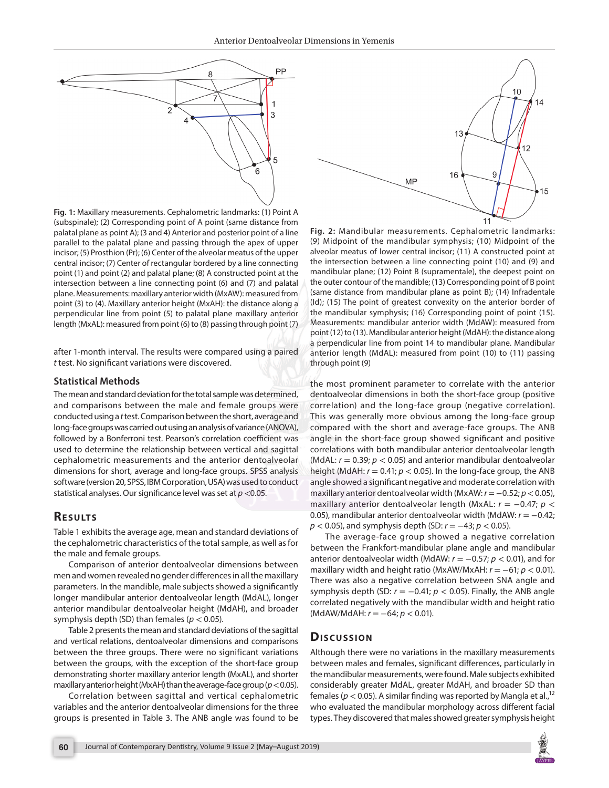

**Fig. 1:** Maxillary measurements. Cephalometric landmarks: (1) Point A (subspinale); (2) Corresponding point of A point (same distance from palatal plane as point A); (3 and 4) Anterior and posterior point of a line parallel to the palatal plane and passing through the apex of upper incisor; (5) Prosthion (Pr); (6) Center of the alveolar meatus of the upper central incisor; (7) Center of rectangular bordered by a line connecting point (1) and point (2) and palatal plane; (8) A constructed point at the intersection between a line connecting point (6) and (7) and palatal plane. Measurements: maxillary anterior width (MxAW): measured from point (3) to (4). Maxillary anterior height (MxAH): the distance along a perpendicular line from point (5) to palatal plane maxillary anterior length (MxAL): measured from point (6) to (8) passing through point (7)

after 1-month interval. The results were compared using a paired *t* test. No significant variations were discovered.

#### **Statistical Methods**

The mean and standard deviation for the total sample was determined, and comparisons between the male and female groups were conducted using a *t* test. Comparison between the short, average and long-face groups was carried out using an analysis of variance (ANOVA), followed by a Bonferroni test. Pearson's correlation coefficient was used to determine the relationship between vertical and sagittal cephalometric measurements and the anterior dentoalveolar dimensions for short, average and long-face groups. SPSS analysis software (version 20, SPSS, IBM Corporation, USA) was used to conduct statistical analyses. Our significance level was set at *p* <0.05.

## **RESULTS**

Table 1 exhibits the average age, mean and standard deviations of the cephalometric characteristics of the total sample, as well as for the male and female groups.

Comparison of anterior dentoalveolar dimensions between men and women revealed no gender differences in all the maxillary parameters. In the mandible, male subjects showed a significantly longer mandibular anterior dentoalveolar length (MdAL), longer anterior mandibular dentoalveolar height (MdAH), and broader symphysis depth (SD) than females (*p* < 0.05).

Table 2 presents the mean and standard deviations of the sagittal and vertical relations, dentoalveolar dimensions and comparisons between the three groups. There were no significant variations between the groups, with the exception of the short-face group demonstrating shorter maxillary anterior length (MxAL), and shorter maxillary anterior height (MxAH) than the average-face group (*p*< 0.05).

Correlation between sagittal and vertical cephalometric variables and the anterior dentoalveolar dimensions for the three groups is presented in Table 3. The ANB angle was found to be



**Fig. 2:** Mandibular measurements. Cephalometric landmarks: (9) Midpoint of the mandibular symphysis; (10) Midpoint of the alveolar meatus of lower central incisor; (11) A constructed point at the intersection between a line connecting point (10) and (9) and mandibular plane; (12) Point B (supramentale), the deepest point on the outer contour of the mandible; (13) Corresponding point of B point (same distance from mandibular plane as point B); (14) Infradentale (Id); (15) The point of greatest convexity on the anterior border of the mandibular symphysis; (16) Corresponding point of point (15). Measurements: mandibular anterior width (MdAW): measured from point (12) to (13). Mandibular anterior height (MdAH): the distance along a perpendicular line from point 14 to mandibular plane. Mandibular anterior length (MdAL): measured from point (10) to (11) passing through point (9)

the most prominent parameter to correlate with the anterior dentoalveolar dimensions in both the short-face group (positive correlation) and the long-face group (negative correlation). This was generally more obvious among the long-face group compared with the short and average-face groups. The ANB angle in the short-face group showed significant and positive correlations with both mandibular anterior dentoalveolar length (MdAL:  $r = 0.39$ ;  $p < 0.05$ ) and anterior mandibular dentoalveolar height (MdAH: *r* = 0.41; *p* < 0.05). In the long-face group, the ANB angle showed a significant negative and moderate correlation with maxillary anterior dentoalveolar width (MxAW: *r*=−0.52; *p*< 0.05), maxillary anterior dentoalveolar length (MxAL: *r* = −0.47; *p* < 0.05), mandibular anterior dentoalveolar width (MdAW: *r* = −0.42; *p* < 0.05), and symphysis depth (SD: *r* = −43; *p* < 0.05).

The average-face group showed a negative correlation between the Frankfort-mandibular plane angle and mandibular anterior dentoalveolar width (MdAW:  $r = -0.57$ ;  $p < 0.01$ ), and for maxillary width and height ratio (MxAW/MxAH: *r* = −61; *p* < 0.01). There was also a negative correlation between SNA angle and symphysis depth (SD:  $r = -0.41$ ;  $p < 0.05$ ). Finally, the ANB angle correlated negatively with the mandibular width and height ratio (MdAW/MdAH: *r* = −64; *p* < 0.01).

## **Discussion**

Although there were no variations in the maxillary measurements between males and females, significant differences, particularly in the mandibular measurements, were found. Male subjects exhibited considerably greater MdAL, greater MdAH, and broader SD than females ( $p < 0.05$ ). A similar finding was reported by Mangla et al.,<sup>12</sup> who evaluated the mandibular morphology across different facial types. They discovered that males showed greater symphysis height

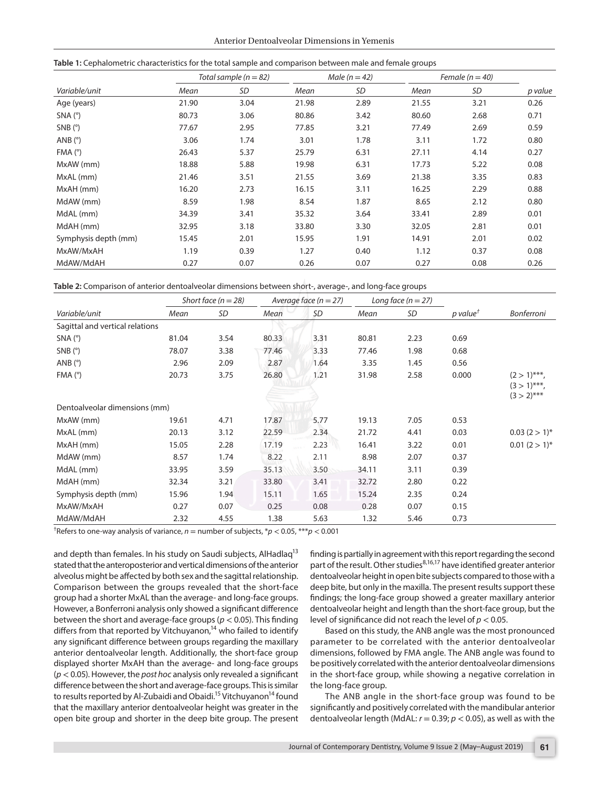|                      | Total sample ( $n = 82$ ) |           |       | Male $(n = 42)$ |       | Female ( $n = 40$ ) |         |
|----------------------|---------------------------|-----------|-------|-----------------|-------|---------------------|---------|
| Variable/unit        | Mean                      | <b>SD</b> | Mean  | <b>SD</b>       | Mean  | <b>SD</b>           | p value |
| Age (years)          | 21.90                     | 3.04      | 21.98 | 2.89            | 21.55 | 3.21                | 0.26    |
| $SNA(^{\circ})$      | 80.73                     | 3.06      | 80.86 | 3.42            | 80.60 | 2.68                | 0.71    |
| $SNB$ ( $\degree$ )  | 77.67                     | 2.95      | 77.85 | 3.21            | 77.49 | 2.69                | 0.59    |
| ANB $(°)$            | 3.06                      | 1.74      | 3.01  | 1.78            | 3.11  | 1.72                | 0.80    |
| FMA (°)              | 26.43                     | 5.37      | 25.79 | 6.31            | 27.11 | 4.14                | 0.27    |
| MxAW (mm)            | 18.88                     | 5.88      | 19.98 | 6.31            | 17.73 | 5.22                | 0.08    |
| MxAL (mm)            | 21.46                     | 3.51      | 21.55 | 3.69            | 21.38 | 3.35                | 0.83    |
| MxAH (mm)            | 16.20                     | 2.73      | 16.15 | 3.11            | 16.25 | 2.29                | 0.88    |
| MdAW (mm)            | 8.59                      | 1.98      | 8.54  | 1.87            | 8.65  | 2.12                | 0.80    |
| MdAL (mm)            | 34.39                     | 3.41      | 35.32 | 3.64            | 33.41 | 2.89                | 0.01    |
| MdAH (mm)            | 32.95                     | 3.18      | 33.80 | 3.30            | 32.05 | 2.81                | 0.01    |
| Symphysis depth (mm) | 15.45                     | 2.01      | 15.95 | 1.91            | 14.91 | 2.01                | 0.02    |
| MxAW/MxAH            | 1.19                      | 0.39      | 1.27  | 0.40            | 1.12  | 0.37                | 0.08    |
| MdAW/MdAH            | 0.27                      | 0.07      | 0.26  | 0.07            | 0.27  | 0.08                | 0.26    |

| Table 2: Comparison of anterior dentoalveolar dimensions between short-, average-, and long-face groups |  |  |
|---------------------------------------------------------------------------------------------------------|--|--|
|                                                                                                         |  |  |

|                                 |       | Short face $(n = 28)$ | Average face $(n = 27)$ |      | Long face $(n = 27)$ |      |                                           |                                 |
|---------------------------------|-------|-----------------------|-------------------------|------|----------------------|------|-------------------------------------------|---------------------------------|
| Variable/unit                   | Mean  | SD                    | Mean                    | SD   | Mean                 | SD   | $p$ value <sup><math>\dagger</math></sup> | <b>Bonferroni</b>               |
| Sagittal and vertical relations |       |                       |                         |      |                      |      |                                           |                                 |
| $SNA(^{\circ})$                 | 81.04 | 3.54                  | 80.33                   | 3.31 | 80.81                | 2.23 | 0.69                                      |                                 |
| $SNB$ ( $\degree$ )             | 78.07 | 3.38                  | 77.46                   | 3.33 | 77.46                | 1.98 | 0.68                                      |                                 |
| ANB $(°)$                       | 2.96  | 2.09                  | 2.87                    | 1.64 | 3.35                 | 1.45 | 0.56                                      |                                 |
| FMA (°)                         | 20.73 | 3.75                  | 26.80                   | 1.21 | 31.98                | 2.58 | 0.000                                     | $(2>1)$ <sup>***</sup> .        |
|                                 |       |                       |                         |      |                      |      |                                           | $(3 > 1)$ ***,<br>$(3 > 2)$ *** |
| Dentoalveolar dimensions (mm)   |       |                       |                         |      |                      |      |                                           |                                 |
| MxAW (mm)                       | 19.61 | 4.71                  | 17.87                   | 5.77 | 19.13                | 7.05 | 0.53                                      |                                 |
| MxAL (mm)                       | 20.13 | 3.12                  | 22.59                   | 2.34 | 21.72                | 4.41 | 0.03                                      | $0.03(2>1)^{*}$                 |
| MxAH (mm)                       | 15.05 | 2.28                  | 17.19                   | 2.23 | 16.41                | 3.22 | 0.01                                      | $0.01(2>1)^{*}$                 |
| MdAW (mm)                       | 8.57  | 1.74                  | 8.22                    | 2.11 | 8.98                 | 2.07 | 0.37                                      |                                 |
| MdAL (mm)                       | 33.95 | 3.59                  | 35.13                   | 3.50 | 34.11                | 3.11 | 0.39                                      |                                 |
| MdAH (mm)                       | 32.34 | 3.21                  | 33.80                   | 3.41 | 32.72                | 2.80 | 0.22                                      |                                 |
| Symphysis depth (mm)            | 15.96 | 1.94                  | 15.11                   | 1.65 | 15.24                | 2.35 | 0.24                                      |                                 |
| MxAW/MxAH                       | 0.27  | 0.07                  | 0.25                    | 0.08 | 0.28                 | 0.07 | 0.15                                      |                                 |
| MdAW/MdAH                       | 2.32  | 4.55                  | 1.38                    | 5.63 | 1.32                 | 5.46 | 0.73                                      |                                 |

<sup>†</sup>Refers to one-way analysis of variance,  $n =$  number of subjects,  $*p < 0.05$ ,  $***p < 0.001$ 

and depth than females. In his study on Saudi subjects, AlHadlaq<sup>13</sup> stated that the anteroposterior and vertical dimensions of the anterior alveolus might be affected by both sex and the sagittal relationship. Comparison between the groups revealed that the short-face group had a shorter MxAL than the average- and long-face groups. However, a Bonferroni analysis only showed a significant difference between the short and average-face groups (*p* < 0.05). This finding differs from that reported by Vitchuyanon,<sup>14</sup> who failed to identify any significant difference between groups regarding the maxillary anterior dentoalveolar length. Additionally, the short-face group displayed shorter MxAH than the average- and long-face groups (*p* < 0.05). However, the *post hoc* analysis only revealed a significant difference between the short and average-face groups. This is similar to results reported by Al-Zubaidi and Obaidi.<sup>15</sup> Vitchuyanon<sup>14</sup> found that the maxillary anterior dentoalveolar height was greater in the open bite group and shorter in the deep bite group. The present

finding is partially in agreement with this report regarding the second part of the result. Other studies<sup>8,16,17</sup> have identified greater anterior dentoalveolar height in open bite subjects compared to those with a deep bite, but only in the maxilla. The present results support these findings; the long-face group showed a greater maxillary anterior dentoalveolar height and length than the short-face group, but the level of significance did not reach the level of *p* < 0.05.

Based on this study, the ANB angle was the most pronounced parameter to be correlated with the anterior dentoalveolar dimensions, followed by FMA angle. The ANB angle was found to be positively correlated with the anterior dentoalveolar dimensions in the short-face group, while showing a negative correlation in the long-face group.

The ANB angle in the short-face group was found to be significantly and positively correlated with the mandibular anterior dentoalveolar length (MdAL:  $r = 0.39$ ;  $p < 0.05$ ), as well as with the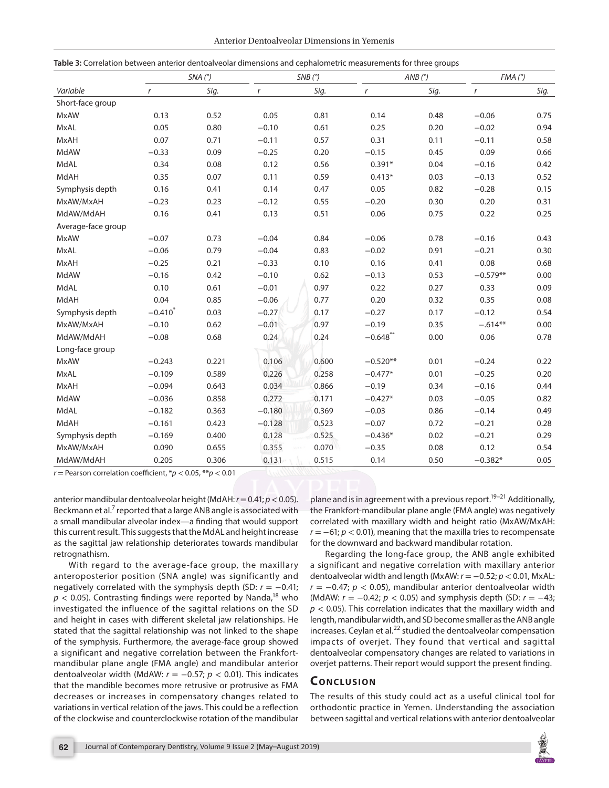| Anterior Dentoalveolar Dimensions in Yemenis |  |  |
|----------------------------------------------|--|--|
|----------------------------------------------|--|--|

| Table 3: Correlation between anterior dentoalveolar dimensions and cephalometric measurements for three groups |  |  |
|----------------------------------------------------------------------------------------------------------------|--|--|
|----------------------------------------------------------------------------------------------------------------|--|--|

|                    | SNA(°)           |       | SNB(°)   |       | AND (°)          |      | FMA (°)          |      |
|--------------------|------------------|-------|----------|-------|------------------|------|------------------|------|
| Variable           | $\boldsymbol{r}$ | Sig.  | r        | Sig.  | $\boldsymbol{r}$ | Sig. | $\boldsymbol{r}$ | Sig. |
| Short-face group   |                  |       |          |       |                  |      |                  |      |
| <b>MxAW</b>        | 0.13             | 0.52  | 0.05     | 0.81  | 0.14             | 0.48 | $-0.06$          | 0.75 |
| <b>MxAL</b>        | 0.05             | 0.80  | $-0.10$  | 0.61  | 0.25             | 0.20 | $-0.02$          | 0.94 |
| <b>MxAH</b>        | 0.07             | 0.71  | $-0.11$  | 0.57  | 0.31             | 0.11 | $-0.11$          | 0.58 |
| MdAW               | $-0.33$          | 0.09  | $-0.25$  | 0.20  | $-0.15$          | 0.45 | 0.09             | 0.66 |
| MdAL               | 0.34             | 0.08  | 0.12     | 0.56  | $0.391*$         | 0.04 | $-0.16$          | 0.42 |
| MdAH               | 0.35             | 0.07  | 0.11     | 0.59  | $0.413*$         | 0.03 | $-0.13$          | 0.52 |
| Symphysis depth    | 0.16             | 0.41  | 0.14     | 0.47  | 0.05             | 0.82 | $-0.28$          | 0.15 |
| MxAW/MxAH          | $-0.23$          | 0.23  | $-0.12$  | 0.55  | $-0.20$          | 0.30 | 0.20             | 0.31 |
| MdAW/MdAH          | 0.16             | 0.41  | 0.13     | 0.51  | 0.06             | 0.75 | 0.22             | 0.25 |
| Average-face group |                  |       |          |       |                  |      |                  |      |
| <b>MxAW</b>        | $-0.07$          | 0.73  | $-0.04$  | 0.84  | $-0.06$          | 0.78 | $-0.16$          | 0.43 |
| <b>MxAL</b>        | $-0.06$          | 0.79  | $-0.04$  | 0.83  | $-0.02$          | 0.91 | $-0.21$          | 0.30 |
| <b>MxAH</b>        | $-0.25$          | 0.21  | $-0.33$  | 0.10  | 0.16             | 0.41 | 0.08             | 0.68 |
| MdAW               | $-0.16$          | 0.42  | $-0.10$  | 0.62  | $-0.13$          | 0.53 | $-0.579**$       | 0.00 |
| MdAL               | 0.10             | 0.61  | $-0.01$  | 0.97  | 0.22             | 0.27 | 0.33             | 0.09 |
| MdAH               | 0.04             | 0.85  | $-0.06$  | 0.77  | 0.20             | 0.32 | 0.35             | 0.08 |
| Symphysis depth    | $-0.410*$        | 0.03  | $-0.27$  | 0.17  | $-0.27$          | 0.17 | $-0.12$          | 0.54 |
| MxAW/MxAH          | $-0.10$          | 0.62  | $-0.01$  | 0.97  | $-0.19$          | 0.35 | $-.614**$        | 0.00 |
| MdAW/MdAH          | $-0.08$          | 0.68  | 0.24     | 0.24  | $-0.648$ **      | 0.00 | 0.06             | 0.78 |
| Long-face group    |                  |       |          |       |                  |      |                  |      |
| <b>MxAW</b>        | $-0.243$         | 0.221 | 0.106    | 0.600 | $-0.520**$       | 0.01 | $-0.24$          | 0.22 |
| <b>MxAL</b>        | $-0.109$         | 0.589 | 0.226    | 0.258 | $-0.477*$        | 0.01 | $-0.25$          | 0.20 |
| <b>MxAH</b>        | $-0.094$         | 0.643 | 0.034    | 0.866 | $-0.19$          | 0.34 | $-0.16$          | 0.44 |
| MdAW               | $-0.036$         | 0.858 | 0.272    | 0.171 | $-0.427*$        | 0.03 | $-0.05$          | 0.82 |
| MdAL               | $-0.182$         | 0.363 | $-0.180$ | 0.369 | $-0.03$          | 0.86 | $-0.14$          | 0.49 |
| MdAH               | $-0.161$         | 0.423 | $-0.128$ | 0.523 | $-0.07$          | 0.72 | $-0.21$          | 0.28 |
| Symphysis depth    | $-0.169$         | 0.400 | 0.128    | 0.525 | $-0.436*$        | 0.02 | $-0.21$          | 0.29 |
| MxAW/MxAH          | 0.090            | 0.655 | 0.355    | 0.070 | $-0.35$          | 0.08 | 0.12             | 0.54 |
| MdAW/MdAH          | 0.205            | 0.306 | 0.131    | 0.515 | 0.14             | 0.50 | $-0.382*$        | 0.05 |

 $r =$  Pearson correlation coefficient,  $p < 0.05$ ,  $p < 0.01$ 

anterior mandibular dentoalveolar height (MdAH: *r*= 0.41; *p*< 0.05). Beckmann et al.<sup>7</sup> reported that a large ANB angle is associated with a small mandibular alveolar index—a finding that would support this current result. This suggests that the MdAL and height increase as the sagittal jaw relationship deteriorates towards mandibular retrognathism.

With regard to the average-face group, the maxillary anteroposterior position (SNA angle) was significantly and negatively correlated with the symphysis depth (SD: *r* = −0.41;  $p < 0.05$ ). Contrasting findings were reported by Nanda,<sup>18</sup> who investigated the influence of the sagittal relations on the SD and height in cases with different skeletal jaw relationships. He stated that the sagittal relationship was not linked to the shape of the symphysis. Furthermore, the average-face group showed a significant and negative correlation between the Frankfortmandibular plane angle (FMA angle) and mandibular anterior dentoalveolar width (MdAW:  $r = -0.57$ ;  $p < 0.01$ ). This indicates that the mandible becomes more retrusive or protrusive as FMA decreases or increases in compensatory changes related to variations in vertical relation of the jaws. This could be a reflection of the clockwise and counterclockwise rotation of the mandibular

plane and is in agreement with a previous report.<sup>19–21</sup> Additionally, the Frankfort-mandibular plane angle (FMA angle) was negatively correlated with maxillary width and height ratio (MxAW/MxAH: *r* = −61; *p* < 0.01), meaning that the maxilla tries to recompensate for the downward and backward mandibular rotation.

Regarding the long-face group, the ANB angle exhibited a significant and negative correlation with maxillary anterior dentoalveolar width and length (MxAW: *r* = −0.52; *p* < 0.01, MxAL: *r* = −0.47; *p* < 0.05), mandibular anterior dentoalveolar width (MdAW: *r* = −0.42; *p* < 0.05) and symphysis depth (SD: *r* = −43; *p* < 0.05). This correlation indicates that the maxillary width and length, mandibular width, and SD become smaller as the ANB angle  $increases$ . Ceylan et al. $^{22}$  studied the dentoalveolar compensation impacts of overjet. They found that vertical and sagittal dentoalveolar compensatory changes are related to variations in overjet patterns. Their report would support the present finding.

## **CONCLUSION**

The results of this study could act as a useful clinical tool for orthodontic practice in Yemen. Understanding the association between sagittal and vertical relations with anterior dentoalveolar